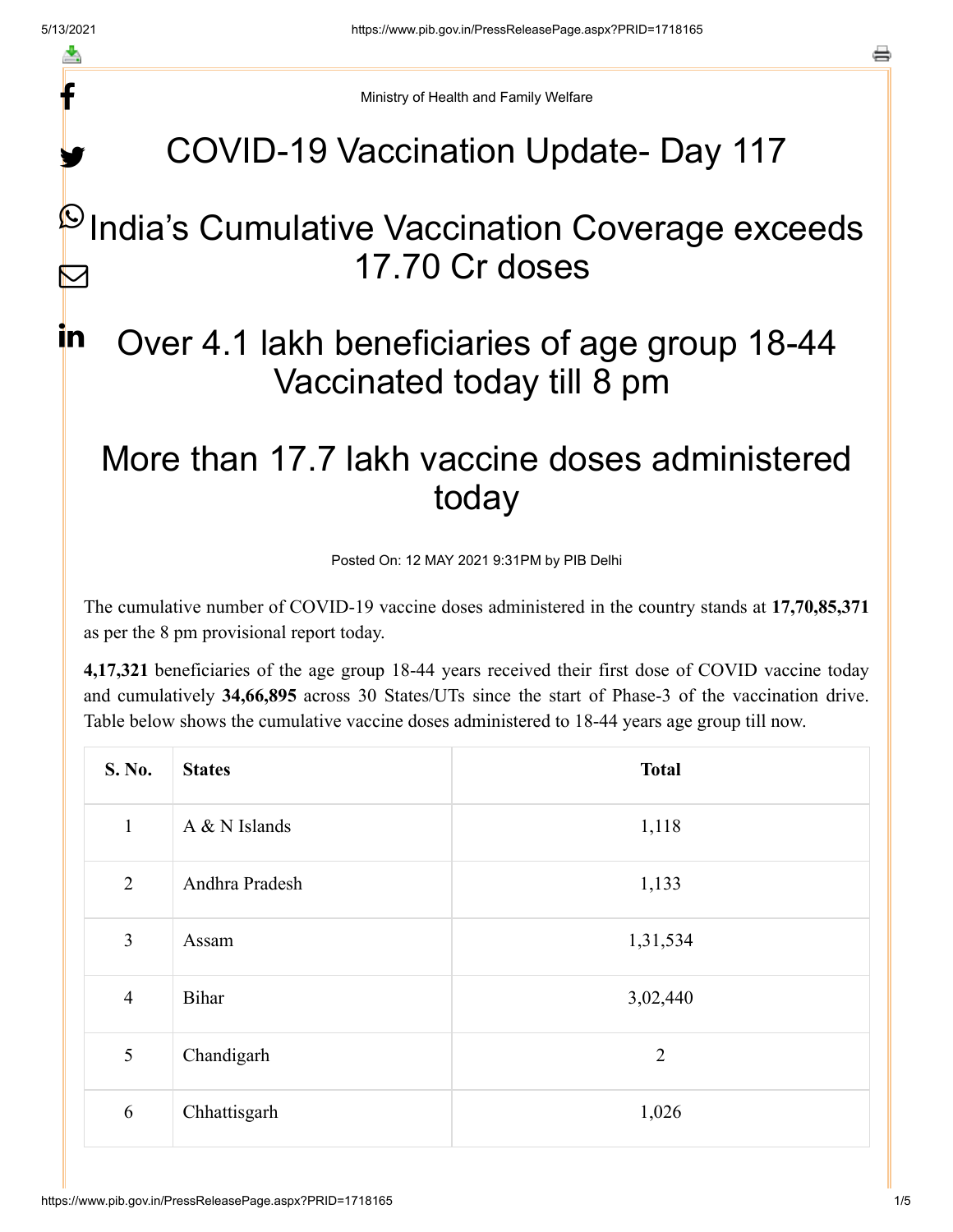f

y.

a

Ministry of Health and Family Welfare

# COVID-19 Vaccination Update- Day 117

### $\mathsf P$ India's Cumulative Vaccination Coverage exceeds 17.70 Cr doses  $\blacktriangleright$

### Over 4.1 lakh beneficiaries of age group 18-44 Vaccinated today till 8 pm in

# More than 17.7 lakh vaccine doses administered today

Posted On: 12 MAY 2021 9:31PM by PIB Delhi

The cumulative number of COVID-19 vaccine doses administered in the country stands at **17,70,85,371** as per the 8 pm provisional report today.

**4,17,321** beneficiaries of the age group 18-44 years received their first dose of COVID vaccine today and cumulatively **34,66,895** across 30 States/UTs since the start of Phase-3 of the vaccination drive. Table below shows the cumulative vaccine doses administered to 18-44 years age group till now.

| S. No.         | <b>States</b>  | <b>Total</b>   |
|----------------|----------------|----------------|
| $\mathbf{1}$   | A & N Islands  | 1,118          |
| $\overline{2}$ | Andhra Pradesh | 1,133          |
| 3              | Assam          | 1,31,534       |
| $\overline{4}$ | Bihar          | 3,02,440       |
| 5              | Chandigarh     | $\overline{2}$ |
| 6              | Chhattisgarh   | 1,026          |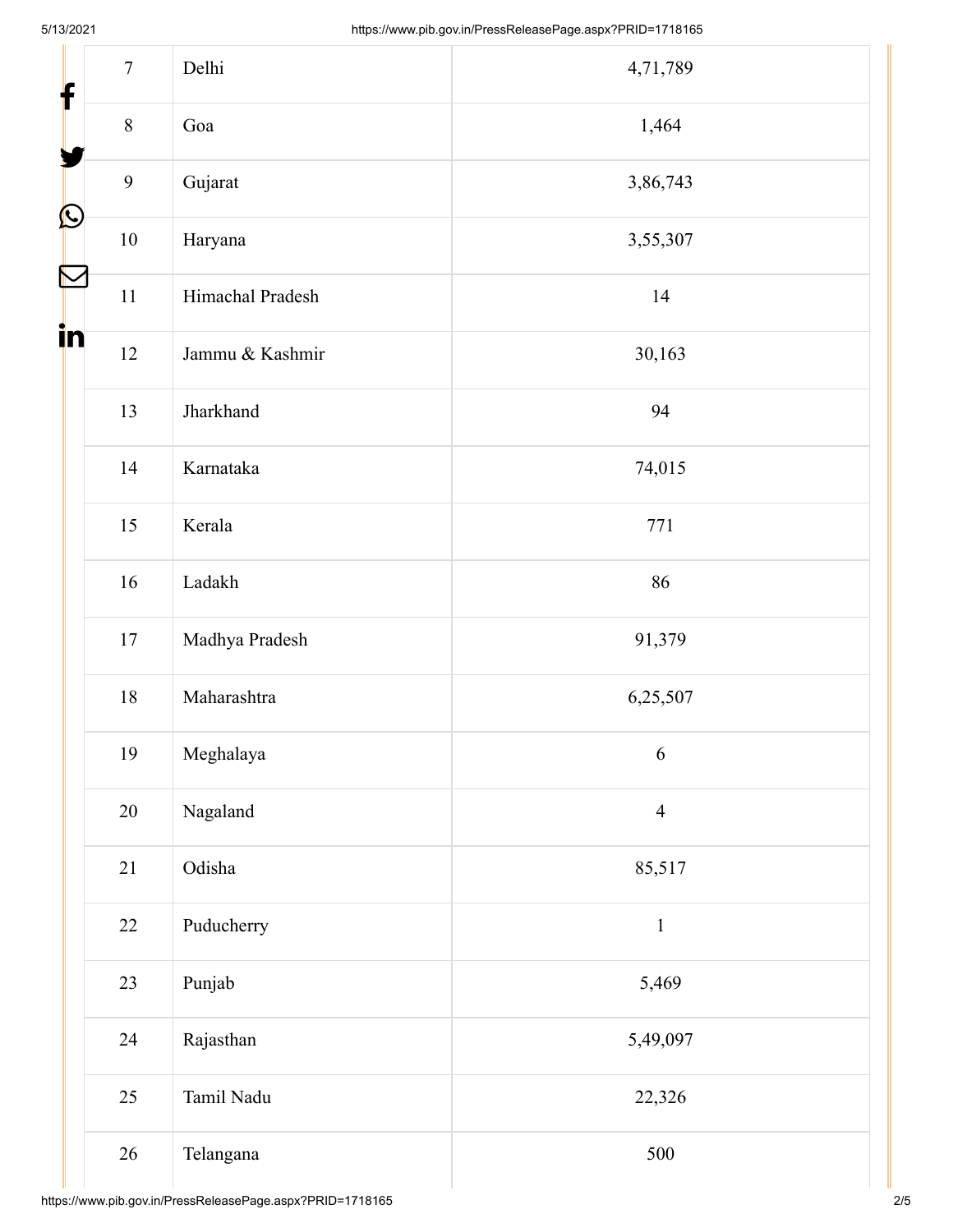| f          | $\tau$  | Delhi            | 4,71,789       |
|------------|---------|------------------|----------------|
|            | $\,8\,$ | Goa              | 1,464          |
|            | 9       | Gujarat          | 3,86,743       |
| $\bigcirc$ | $10\,$  | Haryana          | 3,55,307       |
| N          | $11\,$  | Himachal Pradesh | 14             |
| in         | 12      | Jammu & Kashmir  | 30,163         |
|            | 13      | Jharkhand        | 94             |
|            | 14      | Karnataka        | 74,015         |
|            | 15      | Kerala           | 771            |
|            | 16      | Ladakh           | 86             |
|            | $17\,$  | Madhya Pradesh   | 91,379         |
|            | $18\,$  | Maharashtra      | 6,25,507       |
|            | 19      | Meghalaya        | 6              |
|            | $20\,$  | Nagaland         | $\overline{4}$ |
|            | 21      | Odisha           | 85,517         |
|            | 22      | Puducherry       | $\,1\,$        |
|            | 23      | Punjab           | 5,469          |
|            | 24      | Rajasthan        | 5,49,097       |
|            | 25      | Tamil Nadu       | 22,326         |
|            | 26      | Telangana        | 500            |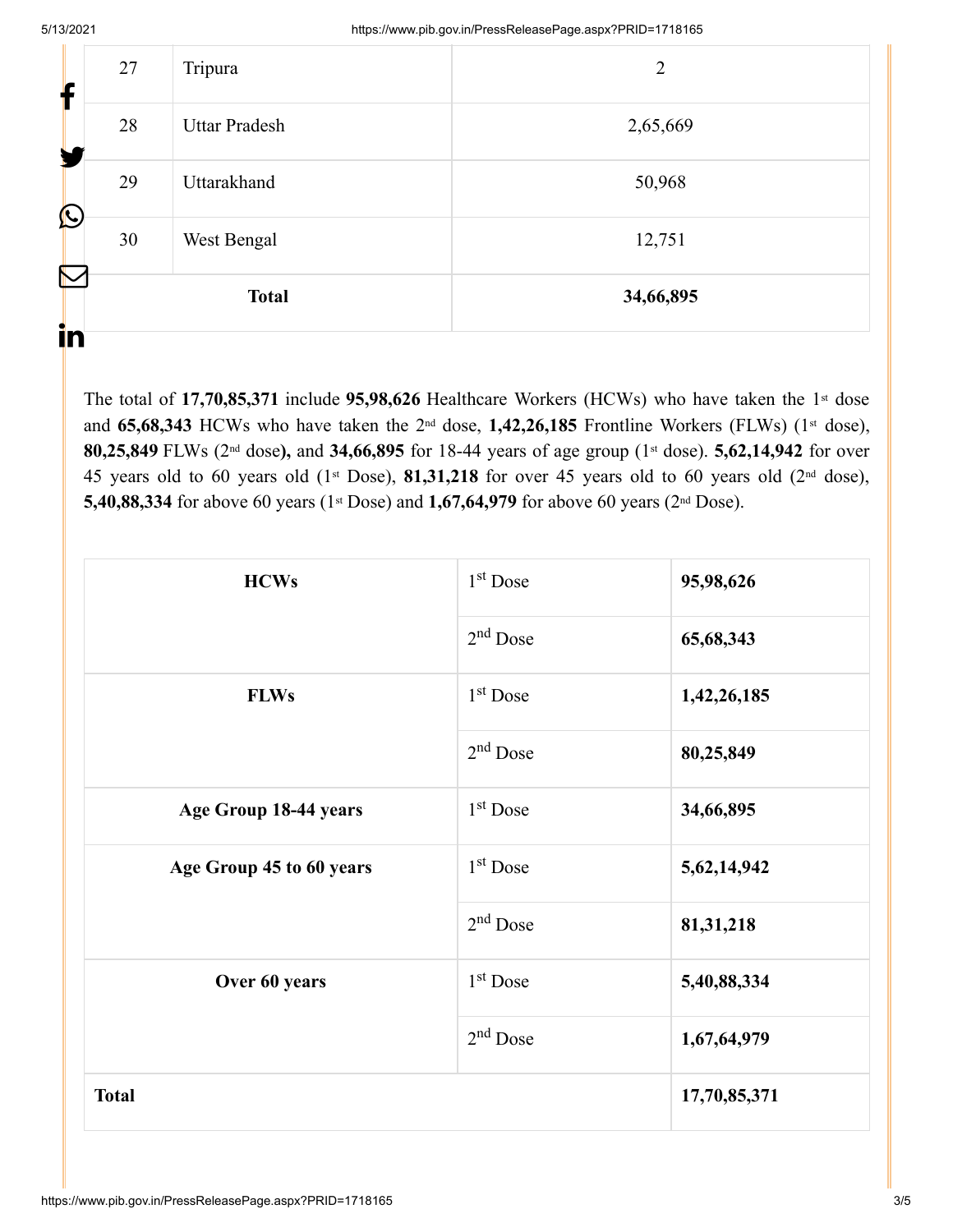| $\sum$<br>in      |    | <b>Total</b>         | 34,66,895 |
|-------------------|----|----------------------|-----------|
| $\mathbf{\Omega}$ | 30 | West Bengal          | 12,751    |
|                   | 29 | Uttarakhand          | 50,968    |
|                   | 28 | <b>Uttar Pradesh</b> | 2,65,669  |
| Т                 | 27 | Tripura              | 2         |

The total of 17,70,85,371 include 95,98,626 Healthcare Workers (HCWs) who have taken the 1<sup>st</sup> dose and 65,68,343 HCWs who have taken the 2<sup>nd</sup> dose, 1,42,26,185 Frontline Workers (FLWs) (1<sup>st</sup> dose), 80,25,849 FLWs (2<sup>nd</sup> dose), and 34,66,895 for 18-44 years of age group (1<sup>st</sup> dose). 5,62,14,942 for over 45 years old to 60 years old  $(1<sup>st</sup> Does), 81,31,218$  for over 45 years old to 60 years old  $(2<sup>nd</sup> dose),$ 5,40,88,334 for above 60 years (1<sup>st</sup> Dose) and 1,67,64,979 for above 60 years (2<sup>nd</sup> Dose).

| <b>HCWs</b>              | $1st$ Dose | 95,98,626    |
|--------------------------|------------|--------------|
|                          | $2nd$ Dose | 65,68,343    |
| <b>FLWs</b>              | $1st$ Dose | 1,42,26,185  |
|                          | $2nd$ Dose | 80,25,849    |
| Age Group 18-44 years    | $1st$ Dose | 34,66,895    |
| Age Group 45 to 60 years | $1st$ Dose | 5,62,14,942  |
|                          | $2nd$ Dose | 81,31,218    |
| Over 60 years            | $1st$ Dose | 5,40,88,334  |
|                          | $2nd$ Dose | 1,67,64,979  |
| <b>Total</b>             |            | 17,70,85,371 |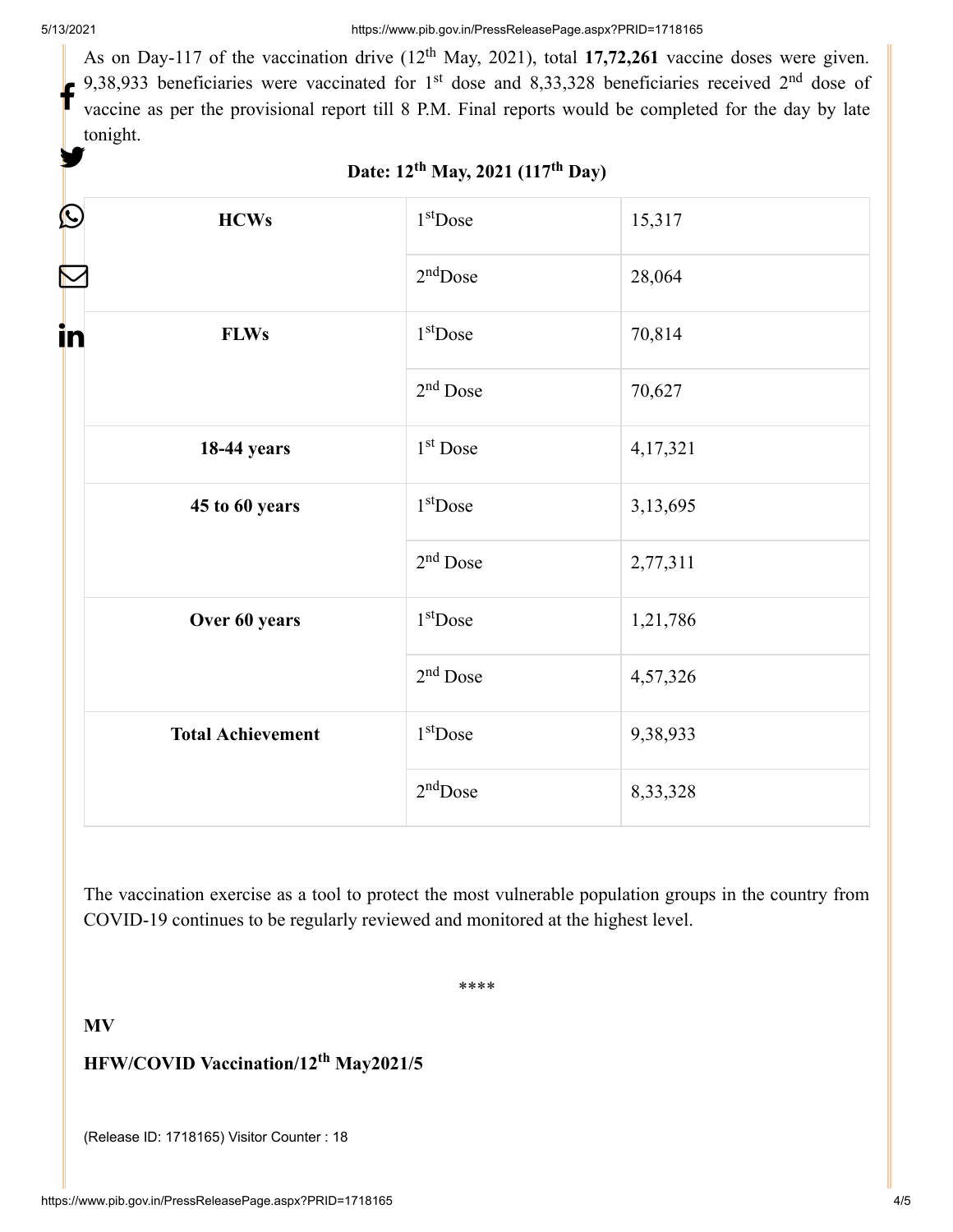As on Day-117 of the vaccination drive  $(12<sup>th</sup>$  May, 2021), total 17,72,261 vaccine doses were given. 9,38,933 beneficiaries were vaccinated for 1<sup>st</sup> dose and 8,33,328 beneficiaries received 2<sup>nd</sup> dose of vaccine as per the provisional report till 8 P.M. Final reports would be completed for the day by late tonight. f y.

| C  | <b>HCWs</b>              | $1st$ Dose           | 15,317   |
|----|--------------------------|----------------------|----------|
|    |                          | $2nd$ Dose           | 28,064   |
| in | <b>FLWs</b>              | $1st$ Dose           | 70,814   |
|    |                          | 2 <sup>nd</sup> Dose | 70,627   |
|    | <b>18-44 years</b>       | 1 <sup>st</sup> Dose | 4,17,321 |
|    | 45 to 60 years           | $1st$ Dose           | 3,13,695 |
|    |                          | $2nd$ Dose           | 2,77,311 |
|    | Over 60 years            | $1st$ Dose           | 1,21,786 |
|    |                          | $2nd$ Dose           | 4,57,326 |
|    | <b>Total Achievement</b> | $1st$ Dose           | 9,38,933 |
|    |                          | $2nd$ Dose           | 8,33,328 |

#### Date: 12<sup>th</sup> May, 2021 (117<sup>th</sup> Day)

The vaccination exercise as a tool to protect the most vulnerable population groups in the country from COVID-19 continues to be regularly reviewed and monitored at the highest level.

\*\*\*\*

**MV**

#### **HFW/COVID Vaccination/12<sup>th</sup> May2021/5**

(Release ID: 1718165) Visitor Counter : 18